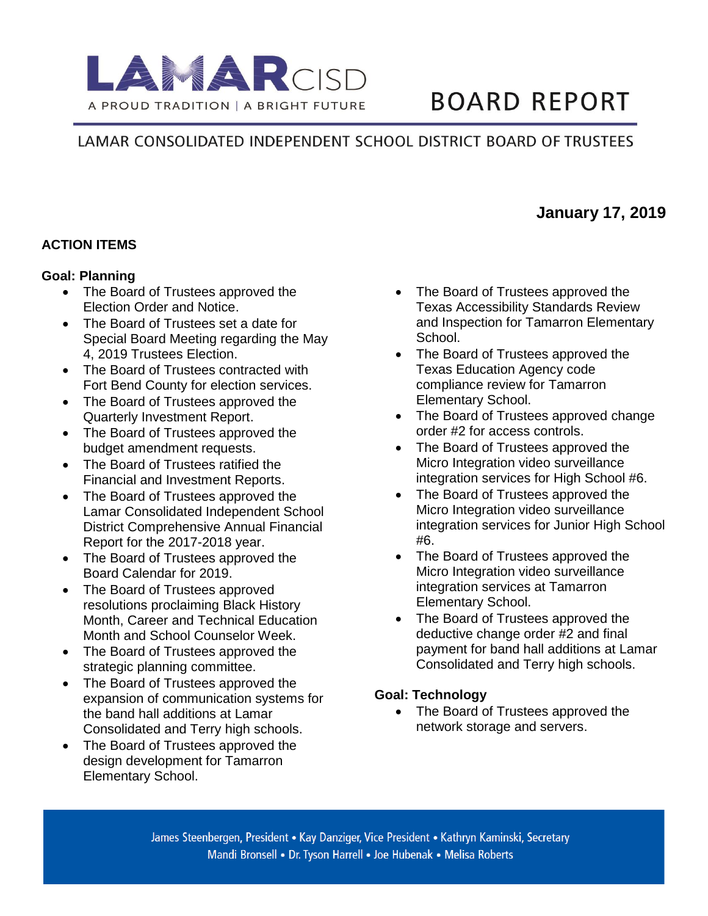

# **BOARD REPORT**

# LAMAR CONSOLIDATED INDEPENDENT SCHOOL DISTRICT BOARD OF TRUSTEES

## **ACTION ITEMS**

#### **Goal: Planning**

- The Board of Trustees approved the Election Order and Notice.
- The Board of Trustees set a date for Special Board Meeting regarding the May 4, 2019 Trustees Election.
- The Board of Trustees contracted with Fort Bend County for election services.
- The Board of Trustees approved the Quarterly Investment Report.
- The Board of Trustees approved the budget amendment requests.
- The Board of Trustees ratified the Financial and Investment Reports.
- The Board of Trustees approved the Lamar Consolidated Independent School District Comprehensive Annual Financial Report for the 2017-2018 year.
- The Board of Trustees approved the Board Calendar for 2019.
- The Board of Trustees approved resolutions proclaiming Black History Month, Career and Technical Education Month and School Counselor Week.
- The Board of Trustees approved the strategic planning committee.
- The Board of Trustees approved the expansion of communication systems for the band hall additions at Lamar Consolidated and Terry high schools.
- The Board of Trustees approved the design development for Tamarron Elementary School.
- The Board of Trustees approved the Texas Accessibility Standards Review and Inspection for Tamarron Elementary School.
- The Board of Trustees approved the Texas Education Agency code compliance review for Tamarron Elementary School.
- The Board of Trustees approved change order #2 for access controls.
- The Board of Trustees approved the Micro Integration video surveillance integration services for High School #6.
- The Board of Trustees approved the Micro Integration video surveillance integration services for Junior High School #6.
- The Board of Trustees approved the Micro Integration video surveillance integration services at Tamarron Elementary School.
- The Board of Trustees approved the deductive change order #2 and final payment for band hall additions at Lamar Consolidated and Terry high schools.

#### **Goal: Technology**

• The Board of Trustees approved the network storage and servers.

# **January 17, 2019**